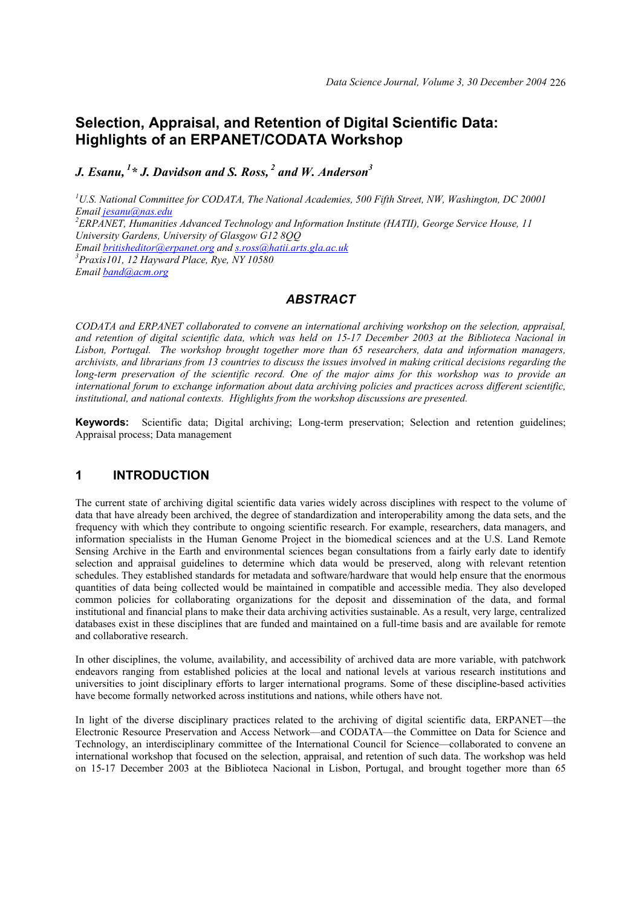# **Selection, Appraisal, and Retention of Digital Scientific Data: Highlights of an ERPANET/CODATA Workshop**

*J. Esanu, 1\* J. Davidson and S. Ross, 2 and W. Anderson3*

<sup>1</sup>U.S. National Committee for CODATA, The National Academies, 500 Fifth Street, NW, Washington, DC 20001 *Email jesanu@nas.edu <sup>2</sup> ERPANET, Humanities Advanced Technology and Information Institute (HATII), George Service House, 11 University Gardens, University of Glasgow G12 8QQ Email britisheditor@erpanet.org and s.ross@hatii.arts.gla.ac.uk <sup>3</sup> Praxis101, 12 Hayward Place, Rye, NY 10580 Email band@acm.org*

#### *ABSTRACT*

*CODATA and ERPANET collaborated to convene an international archiving workshop on the selection, appraisal, and retention of digital scientific data, which was held on 15-17 December 2003 at the Biblioteca Nacional in Lisbon, Portugal. The workshop brought together more than 65 researchers, data and information managers, archivists, and librarians from 13 countries to discuss the issues involved in making critical decisions regarding the long-term preservation of the scientific record. One of the major aims for this workshop was to provide an international forum to exchange information about data archiving policies and practices across different scientific, institutional, and national contexts. Highlights from the workshop discussions are presented.* 

**Keywords:** Scientific data; Digital archiving; Long-term preservation; Selection and retention guidelines; Appraisal process; Data management

#### **1 INTRODUCTION**

The current state of archiving digital scientific data varies widely across disciplines with respect to the volume of data that have already been archived, the degree of standardization and interoperability among the data sets, and the frequency with which they contribute to ongoing scientific research. For example, researchers, data managers, and information specialists in the Human Genome Project in the biomedical sciences and at the U.S. Land Remote Sensing Archive in the Earth and environmental sciences began consultations from a fairly early date to identify selection and appraisal guidelines to determine which data would be preserved, along with relevant retention schedules. They established standards for metadata and software/hardware that would help ensure that the enormous quantities of data being collected would be maintained in compatible and accessible media. They also developed common policies for collaborating organizations for the deposit and dissemination of the data, and formal institutional and financial plans to make their data archiving activities sustainable. As a result, very large, centralized databases exist in these disciplines that are funded and maintained on a full-time basis and are available for remote and collaborative research.

In other disciplines, the volume, availability, and accessibility of archived data are more variable, with patchwork endeavors ranging from established policies at the local and national levels at various research institutions and universities to joint disciplinary efforts to larger international programs. Some of these discipline-based activities have become formally networked across institutions and nations, while others have not.

In light of the diverse disciplinary practices related to the archiving of digital scientific data, ERPANET—the Electronic Resource Preservation and Access Network—and CODATA—the Committee on Data for Science and Technology, an interdisciplinary committee of the International Council for Science—collaborated to convene an international workshop that focused on the selection, appraisal, and retention of such data. The workshop was held on 15-17 December 2003 at the Biblioteca Nacional in Lisbon, Portugal, and brought together more than 65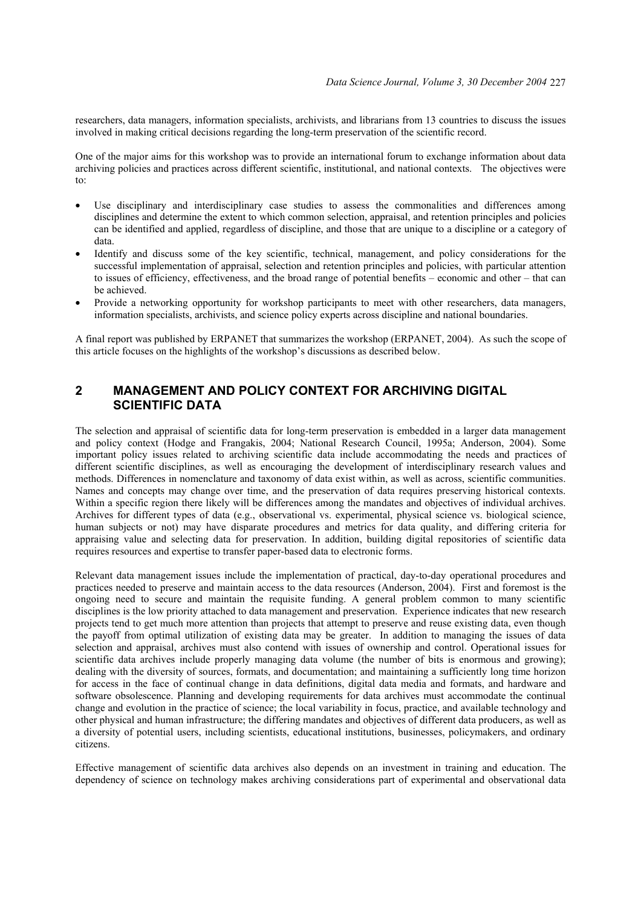researchers, data managers, information specialists, archivists, and librarians from 13 countries to discuss the issues involved in making critical decisions regarding the long-term preservation of the scientific record.

One of the major aims for this workshop was to provide an international forum to exchange information about data archiving policies and practices across different scientific, institutional, and national contexts. The objectives were to:

- Use disciplinary and interdisciplinary case studies to assess the commonalities and differences among disciplines and determine the extent to which common selection, appraisal, and retention principles and policies can be identified and applied, regardless of discipline, and those that are unique to a discipline or a category of data.
- Identify and discuss some of the key scientific, technical, management, and policy considerations for the successful implementation of appraisal, selection and retention principles and policies, with particular attention to issues of efficiency, effectiveness, and the broad range of potential benefits – economic and other – that can be achieved.
- Provide a networking opportunity for workshop participants to meet with other researchers, data managers, information specialists, archivists, and science policy experts across discipline and national boundaries.

A final report was published by ERPANET that summarizes the workshop (ERPANET, 2004). As such the scope of this article focuses on the highlights of the workshop's discussions as described below.

## **2 MANAGEMENT AND POLICY CONTEXT FOR ARCHIVING DIGITAL SCIENTIFIC DATA**

The selection and appraisal of scientific data for long-term preservation is embedded in a larger data management and policy context (Hodge and Frangakis, 2004; National Research Council, 1995a; Anderson, 2004). Some important policy issues related to archiving scientific data include accommodating the needs and practices of different scientific disciplines, as well as encouraging the development of interdisciplinary research values and methods. Differences in nomenclature and taxonomy of data exist within, as well as across, scientific communities. Names and concepts may change over time, and the preservation of data requires preserving historical contexts. Within a specific region there likely will be differences among the mandates and objectives of individual archives. Archives for different types of data (e.g., observational vs. experimental, physical science vs. biological science, human subjects or not) may have disparate procedures and metrics for data quality, and differing criteria for appraising value and selecting data for preservation. In addition, building digital repositories of scientific data requires resources and expertise to transfer paper-based data to electronic forms.

Relevant data management issues include the implementation of practical, day-to-day operational procedures and practices needed to preserve and maintain access to the data resources (Anderson, 2004). First and foremost is the ongoing need to secure and maintain the requisite funding. A general problem common to many scientific disciplines is the low priority attached to data management and preservation. Experience indicates that new research projects tend to get much more attention than projects that attempt to preserve and reuse existing data, even though the payoff from optimal utilization of existing data may be greater. In addition to managing the issues of data selection and appraisal, archives must also contend with issues of ownership and control. Operational issues for scientific data archives include properly managing data volume (the number of bits is enormous and growing); dealing with the diversity of sources, formats, and documentation; and maintaining a sufficiently long time horizon for access in the face of continual change in data definitions, digital data media and formats, and hardware and software obsolescence. Planning and developing requirements for data archives must accommodate the continual change and evolution in the practice of science; the local variability in focus, practice, and available technology and other physical and human infrastructure; the differing mandates and objectives of different data producers, as well as a diversity of potential users, including scientists, educational institutions, businesses, policymakers, and ordinary citizens.

Effective management of scientific data archives also depends on an investment in training and education. The dependency of science on technology makes archiving considerations part of experimental and observational data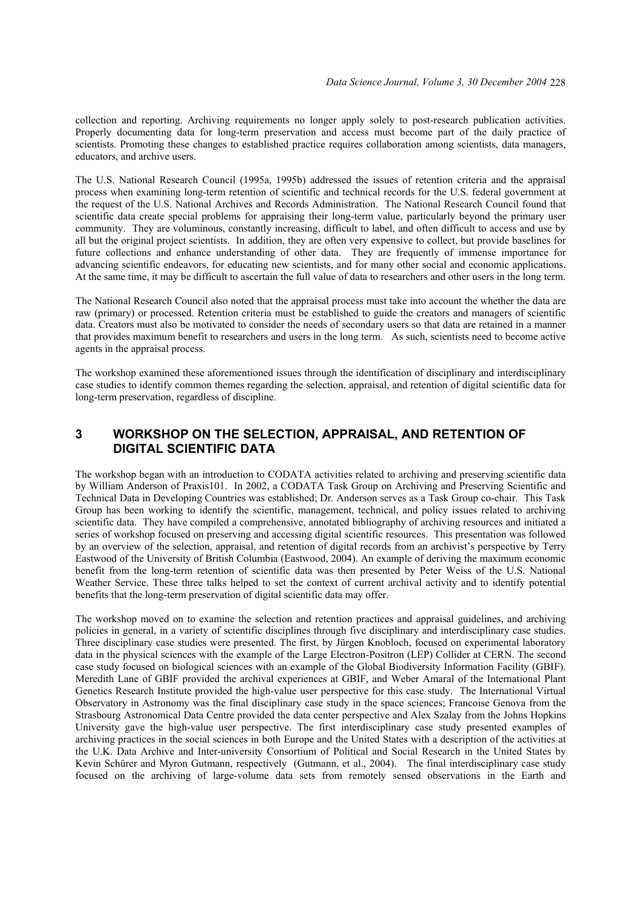collection and reporting. Archiving requirements no longer apply solely to post-research publication activities. Properly documenting data for long-term preservation and access must become part of the daily practice of scientists. Promoting these changes to established practice requires collaboration among scientists, data managers, educators, and archive users.

The U.S. National Research Council (1995a, 1995b) addressed the issues of retention criteria and the appraisal process when examining long-term retention of scientific and technical records for the U.S. federal government at the request of the U.S. National Archives and Records Administration. The National Research Council found that scientific data create special problems for appraising their long-term value, particularly beyond the primary user community. They are voluminous, constantly increasing, difficult to label, and often difficult to access and use by all but the original project scientists. In addition, they are often very expensive to collect, but provide baselines for future collections and enhance understanding of other data. They are frequently of immense importance for advancing scientific endeavors, for educating new scientists, and for many other social and economic applications. At the same time, it may be difficult to ascertain the full value of data to researchers and other users in the long term.

The National Research Council also noted that the appraisal process must take into account the whether the data are raw (primary) or processed. Retention criteria must be established to guide the creators and managers of scientific data. Creators must also be motivated to consider the needs of secondary users so that data are retained in a manner that provides maximum benefit to researchers and users in the long term. As such, scientists need to become active agents in the appraisal process.

The workshop examined these aforementioned issues through the identification of disciplinary and interdisciplinary case studies to identify common themes regarding the selection, appraisal, and retention of digital scientific data for long-term preservation, regardless of discipline.

# **3 WORKSHOP ON THE SELECTION, APPRAISAL, AND RETENTION OF DIGITAL SCIENTIFIC DATA**

The workshop began with an introduction to CODATA activities related to archiving and preserving scientific data by William Anderson of Praxis101. In 2002, a CODATA Task Group on Archiving and Preserving Scientific and Technical Data in Developing Countries was established; Dr. Anderson serves as a Task Group co-chair. This Task Group has been working to identify the scientific, management, technical, and policy issues related to archiving scientific data. They have compiled a comprehensive, annotated bibliography of archiving resources and initiated a series of workshop focused on preserving and accessing digital scientific resources. This presentation was followed by an overview of the selection, appraisal, and retention of digital records from an archivist's perspective by Terry Eastwood of the University of British Columbia (Eastwood, 2004). An example of deriving the maximum economic benefit from the long-term retention of scientific data was then presented by Peter Weiss of the U.S. National Weather Service. These three talks helped to set the context of current archival activity and to identify potential benefits that the long-term preservation of digital scientific data may offer.

The workshop moved on to examine the selection and retention practices and appraisal guidelines, and archiving policies in general, in a variety of scientific disciplines through five disciplinary and interdisciplinary case studies. Three disciplinary case studies were presented. The first, by Jürgen Knobloch, focused on experimental laboratory data in the physical sciences with the example of the Large Electron-Positron (LEP) Collider at CERN. The second case study focused on biological sciences with an example of the Global Biodiversity Information Facility (GBIF). Meredith Lane of GBIF provided the archival experiences at GBIF, and Weber Amaral of the International Plant Genetics Research Institute provided the high-value user perspective for this case study. The International Virtual Observatory in Astronomy was the final disciplinary case study in the space sciences; Francoise Genova from the Strasbourg Astronomical Data Centre provided the data center perspective and Alex Szalay from the Johns Hopkins University gave the high-value user perspective. The first interdisciplinary case study presented examples of archiving practices in the social sciences in both Europe and the United States with a description of the activities at the U.K. Data Archive and Inter-university Consortium of Political and Social Research in the United States by Kevin Schürer and Myron Gutmann, respectively (Gutmann, et al., 2004). The final interdisciplinary case study focused on the archiving of large-volume data sets from remotely sensed observations in the Earth and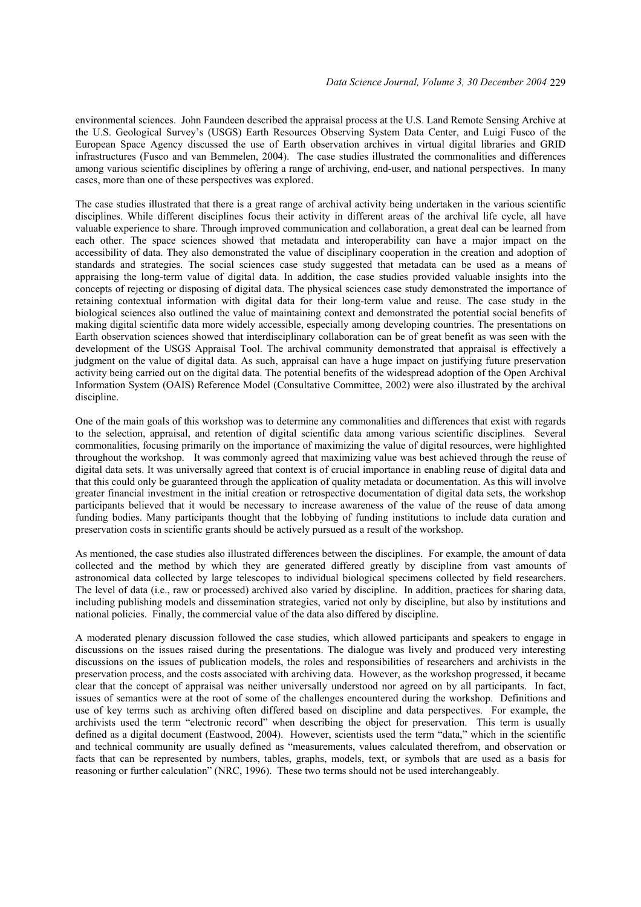environmental sciences. John Faundeen described the appraisal process at the U.S. Land Remote Sensing Archive at the U.S. Geological Survey's (USGS) Earth Resources Observing System Data Center, and Luigi Fusco of the European Space Agency discussed the use of Earth observation archives in virtual digital libraries and GRID infrastructures (Fusco and van Bemmelen, 2004). The case studies illustrated the commonalities and differences among various scientific disciplines by offering a range of archiving, end-user, and national perspectives. In many cases, more than one of these perspectives was explored.

The case studies illustrated that there is a great range of archival activity being undertaken in the various scientific disciplines. While different disciplines focus their activity in different areas of the archival life cycle, all have valuable experience to share. Through improved communication and collaboration, a great deal can be learned from each other. The space sciences showed that metadata and interoperability can have a major impact on the accessibility of data. They also demonstrated the value of disciplinary cooperation in the creation and adoption of standards and strategies. The social sciences case study suggested that metadata can be used as a means of appraising the long-term value of digital data. In addition, the case studies provided valuable insights into the concepts of rejecting or disposing of digital data. The physical sciences case study demonstrated the importance of retaining contextual information with digital data for their long-term value and reuse. The case study in the biological sciences also outlined the value of maintaining context and demonstrated the potential social benefits of making digital scientific data more widely accessible, especially among developing countries. The presentations on Earth observation sciences showed that interdisciplinary collaboration can be of great benefit as was seen with the development of the USGS Appraisal Tool. The archival community demonstrated that appraisal is effectively a judgment on the value of digital data. As such, appraisal can have a huge impact on justifying future preservation activity being carried out on the digital data. The potential benefits of the widespread adoption of the Open Archival Information System (OAIS) Reference Model (Consultative Committee, 2002) were also illustrated by the archival discipline.

One of the main goals of this workshop was to determine any commonalities and differences that exist with regards to the selection, appraisal, and retention of digital scientific data among various scientific disciplines. Several commonalities, focusing primarily on the importance of maximizing the value of digital resources, were highlighted throughout the workshop. It was commonly agreed that maximizing value was best achieved through the reuse of digital data sets. It was universally agreed that context is of crucial importance in enabling reuse of digital data and that this could only be guaranteed through the application of quality metadata or documentation. As this will involve greater financial investment in the initial creation or retrospective documentation of digital data sets, the workshop participants believed that it would be necessary to increase awareness of the value of the reuse of data among funding bodies. Many participants thought that the lobbying of funding institutions to include data curation and preservation costs in scientific grants should be actively pursued as a result of the workshop.

As mentioned, the case studies also illustrated differences between the disciplines. For example, the amount of data collected and the method by which they are generated differed greatly by discipline from vast amounts of astronomical data collected by large telescopes to individual biological specimens collected by field researchers. The level of data (i.e., raw or processed) archived also varied by discipline. In addition, practices for sharing data, including publishing models and dissemination strategies, varied not only by discipline, but also by institutions and national policies. Finally, the commercial value of the data also differed by discipline.

A moderated plenary discussion followed the case studies, which allowed participants and speakers to engage in discussions on the issues raised during the presentations. The dialogue was lively and produced very interesting discussions on the issues of publication models, the roles and responsibilities of researchers and archivists in the preservation process, and the costs associated with archiving data. However, as the workshop progressed, it became clear that the concept of appraisal was neither universally understood nor agreed on by all participants. In fact, issues of semantics were at the root of some of the challenges encountered during the workshop. Definitions and use of key terms such as archiving often differed based on discipline and data perspectives. For example, the archivists used the term "electronic record" when describing the object for preservation. This term is usually defined as a digital document (Eastwood, 2004). However, scientists used the term "data," which in the scientific and technical community are usually defined as "measurements, values calculated therefrom, and observation or facts that can be represented by numbers, tables, graphs, models, text, or symbols that are used as a basis for reasoning or further calculation" (NRC, 1996). These two terms should not be used interchangeably.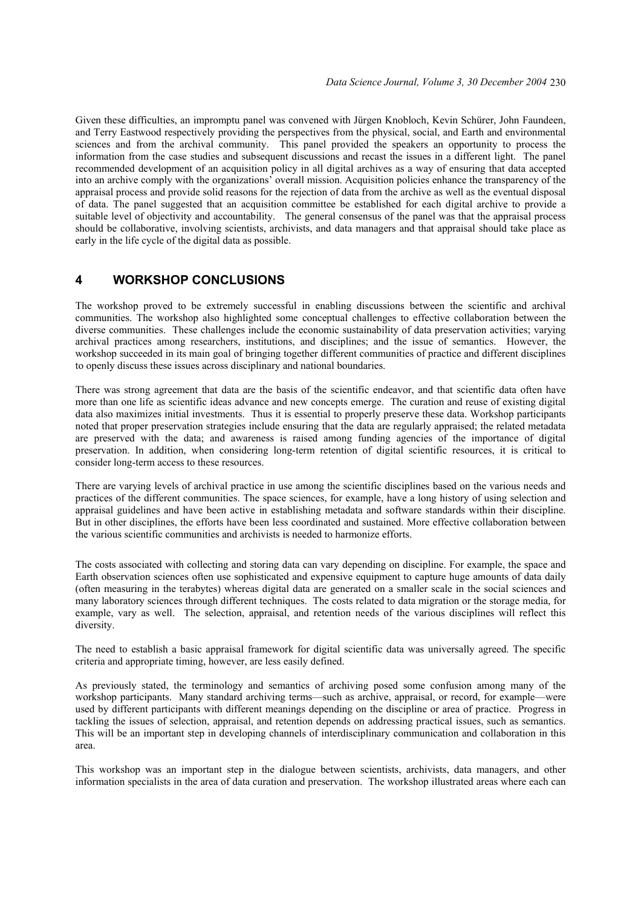Given these difficulties, an impromptu panel was convened with Jürgen Knobloch, Kevin Schürer, John Faundeen, and Terry Eastwood respectively providing the perspectives from the physical, social, and Earth and environmental sciences and from the archival community. This panel provided the speakers an opportunity to process the information from the case studies and subsequent discussions and recast the issues in a different light. The panel recommended development of an acquisition policy in all digital archives as a way of ensuring that data accepted into an archive comply with the organizations' overall mission. Acquisition policies enhance the transparency of the appraisal process and provide solid reasons for the rejection of data from the archive as well as the eventual disposal of data. The panel suggested that an acquisition committee be established for each digital archive to provide a suitable level of objectivity and accountability. The general consensus of the panel was that the appraisal process should be collaborative, involving scientists, archivists, and data managers and that appraisal should take place as early in the life cycle of the digital data as possible.

# **4 WORKSHOP CONCLUSIONS**

The workshop proved to be extremely successful in enabling discussions between the scientific and archival communities. The workshop also highlighted some conceptual challenges to effective collaboration between the diverse communities. These challenges include the economic sustainability of data preservation activities; varying archival practices among researchers, institutions, and disciplines; and the issue of semantics. However, the workshop succeeded in its main goal of bringing together different communities of practice and different disciplines to openly discuss these issues across disciplinary and national boundaries.

There was strong agreement that data are the basis of the scientific endeavor, and that scientific data often have more than one life as scientific ideas advance and new concepts emerge. The curation and reuse of existing digital data also maximizes initial investments. Thus it is essential to properly preserve these data. Workshop participants noted that proper preservation strategies include ensuring that the data are regularly appraised; the related metadata are preserved with the data; and awareness is raised among funding agencies of the importance of digital preservation. In addition, when considering long-term retention of digital scientific resources, it is critical to consider long-term access to these resources.

There are varying levels of archival practice in use among the scientific disciplines based on the various needs and practices of the different communities. The space sciences, for example, have a long history of using selection and appraisal guidelines and have been active in establishing metadata and software standards within their discipline. But in other disciplines, the efforts have been less coordinated and sustained. More effective collaboration between the various scientific communities and archivists is needed to harmonize efforts.

The costs associated with collecting and storing data can vary depending on discipline. For example, the space and Earth observation sciences often use sophisticated and expensive equipment to capture huge amounts of data daily (often measuring in the terabytes) whereas digital data are generated on a smaller scale in the social sciences and many laboratory sciences through different techniques. The costs related to data migration or the storage media, for example, vary as well. The selection, appraisal, and retention needs of the various disciplines will reflect this diversity.

The need to establish a basic appraisal framework for digital scientific data was universally agreed. The specific criteria and appropriate timing, however, are less easily defined.

As previously stated, the terminology and semantics of archiving posed some confusion among many of the workshop participants. Many standard archiving terms—such as archive, appraisal, or record, for example—were used by different participants with different meanings depending on the discipline or area of practice. Progress in tackling the issues of selection, appraisal, and retention depends on addressing practical issues, such as semantics. This will be an important step in developing channels of interdisciplinary communication and collaboration in this area.

This workshop was an important step in the dialogue between scientists, archivists, data managers, and other information specialists in the area of data curation and preservation. The workshop illustrated areas where each can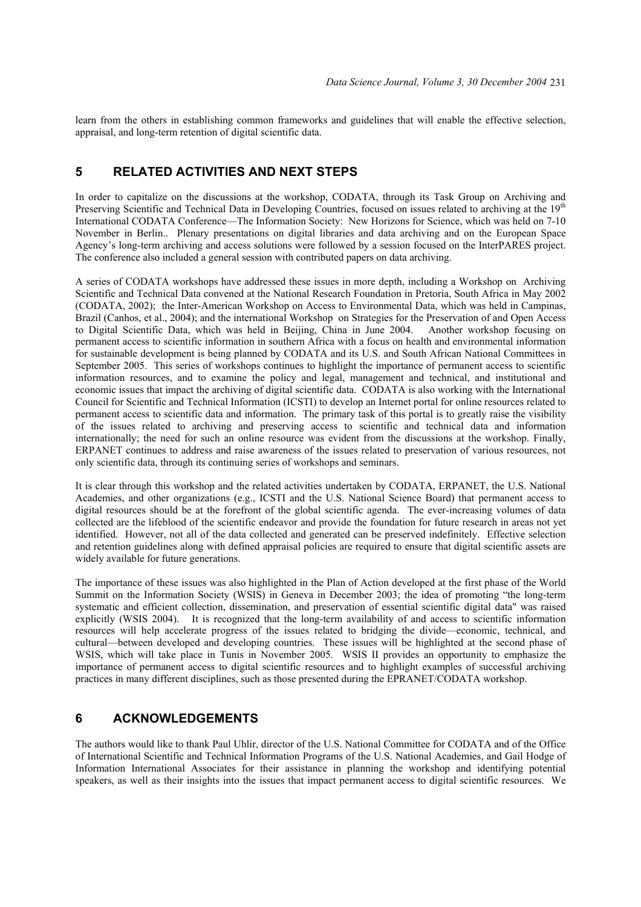learn from the others in establishing common frameworks and guidelines that will enable the effective selection, appraisal, and long-term retention of digital scientific data.

# **5 RELATED ACTIVITIES AND NEXT STEPS**

In order to capitalize on the discussions at the workshop, CODATA, through its Task Group on Archiving and Preserving Scientific and Technical Data in Developing Countries, focused on issues related to archiving at the 19<sup>th</sup> International CODATA Conference—The Information Society: New Horizons for Science, which was held on 7-10 November in Berlin.. Plenary presentations on digital libraries and data archiving and on the European Space Agency's long-term archiving and access solutions were followed by a session focused on the InterPARES project. The conference also included a general session with contributed papers on data archiving.

A series of CODATA workshops have addressed these issues in more depth, including a Workshop on Archiving Scientific and Technical Data convened at the National Research Foundation in Pretoria, South Africa in May 2002 (CODATA, 2002); the Inter-American Workshop on Access to Environmental Data, which was held in Campinas, Brazil (Canhos, et al., 2004); and the international Workshop on Strategies for the Preservation of and Open Access to Digital Scientific Data, which was held in Beijing, China in June 2004. Another workshop focusing on permanent access to scientific information in southern Africa with a focus on health and environmental information for sustainable development is being planned by CODATA and its U.S. and South African National Committees in September 2005. This series of workshops continues to highlight the importance of permanent access to scientific information resources, and to examine the policy and legal, management and technical, and institutional and economic issues that impact the archiving of digital scientific data. CODATA is also working with the International Council for Scientific and Technical Information (ICSTI) to develop an Internet portal for online resources related to permanent access to scientific data and information. The primary task of this portal is to greatly raise the visibility of the issues related to archiving and preserving access to scientific and technical data and information internationally; the need for such an online resource was evident from the discussions at the workshop. Finally, ERPANET continues to address and raise awareness of the issues related to preservation of various resources, not only scientific data, through its continuing series of workshops and seminars.

It is clear through this workshop and the related activities undertaken by CODATA, ERPANET, the U.S. National Academies, and other organizations (e.g., ICSTI and the U.S. National Science Board) that permanent access to digital resources should be at the forefront of the global scientific agenda. The ever-increasing volumes of data collected are the lifeblood of the scientific endeavor and provide the foundation for future research in areas not yet identified. However, not all of the data collected and generated can be preserved indefinitely. Effective selection and retention guidelines along with defined appraisal policies are required to ensure that digital scientific assets are widely available for future generations.

The importance of these issues was also highlighted in the Plan of Action developed at the first phase of the World Summit on the Information Society (WSIS) in Geneva in December 2003; the idea of promoting "the long-term systematic and efficient collection, dissemination, and preservation of essential scientific digital data" was raised explicitly (WSIS 2004). It is recognized that the long-term availability of and access to scientific information resources will help accelerate progress of the issues related to bridging the divide—economic, technical, and cultural—between developed and developing countries. These issues will be highlighted at the second phase of WSIS, which will take place in Tunis in November 2005. WSIS II provides an opportunity to emphasize the importance of permanent access to digital scientific resources and to highlight examples of successful archiving practices in many different disciplines, such as those presented during the EPRANET/CODATA workshop.

#### **6 ACKNOWLEDGEMENTS**

The authors would like to thank Paul Uhlir, director of the U.S. National Committee for CODATA and of the Office of International Scientific and Technical Information Programs of the U.S. National Academies, and Gail Hodge of Information International Associates for their assistance in planning the workshop and identifying potential speakers, as well as their insights into the issues that impact permanent access to digital scientific resources. We